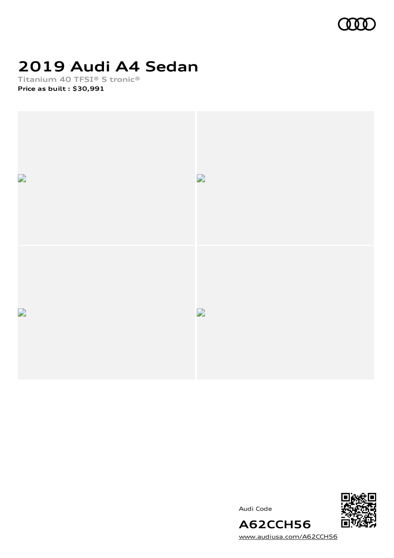

# **2019 Audi A4 Sedan**

**Titanium 40 TFSI® S tronic® Price as built [:](#page-8-0) \$30,991**



Audi Code



[www.audiusa.com/A62CCH56](https://www.audiusa.com/A62CCH56)

**A62CCH56**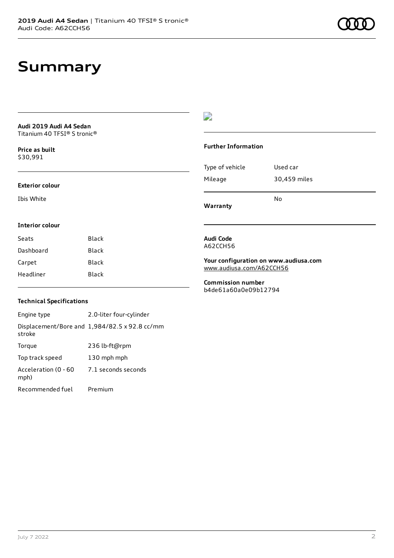### **Summary**

**Audi 2019 Audi A4 Sedan** Titanium 40 TFSI® S tronic®

**Price as buil[t](#page-8-0)** \$30,991

#### **Exterior colour**

Ibis White

### D

#### **Further Information**

|                 | No           |
|-----------------|--------------|
| Mileage         | 30,459 miles |
| Type of vehicle | Used car     |

**Warranty**

### **Interior colour**

| Seats     | <b>Black</b> |
|-----------|--------------|
| Dashboard | Black        |
| Carpet    | Black        |
| Headliner | Black        |
|           |              |

#### **Audi Code** A62CCH56

**Your configuration on www.audiusa.com** [www.audiusa.com/A62CCH56](https://www.audiusa.com/A62CCH56)

**Commission number** b4de61a60a0e09b12794

#### **Technical Specifications**

Engine type 2.0-liter four-cylinder Displacement/Bore and 1,984/82.5 x 92.8 cc/mm stroke Torque 236 lb-ft@rpm Top track speed 130 mph mph Acceleration (0 - 60 mph) 7.1 seconds seconds Recommended fuel Premium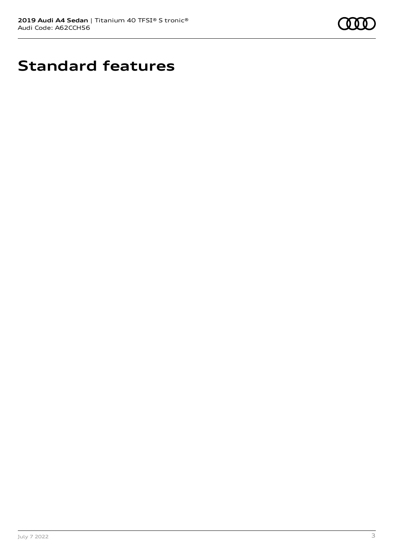

# **Standard features**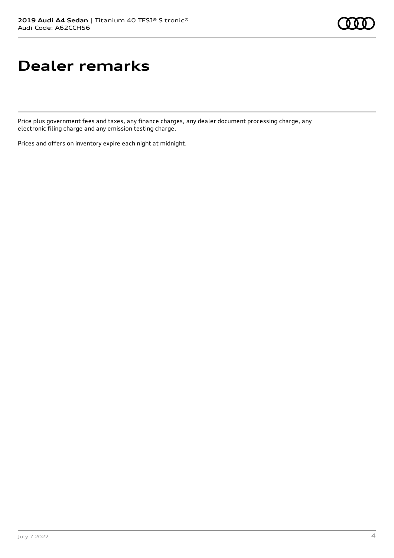# **Dealer remarks**

Price plus government fees and taxes, any finance charges, any dealer document processing charge, any electronic filing charge and any emission testing charge.

Prices and offers on inventory expire each night at midnight.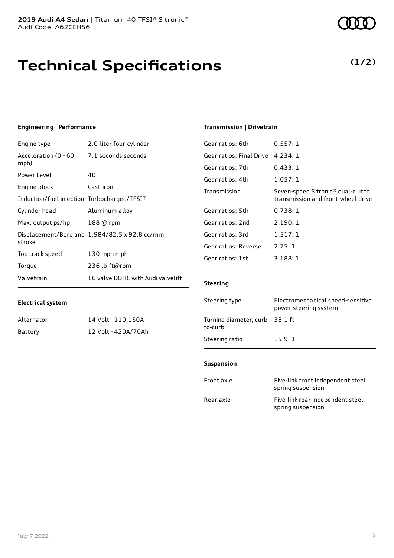# **Technical Specifications**

### **Engineering | Performance**

| Engine type                                 | 2.0-liter four-cylinder                       |
|---------------------------------------------|-----------------------------------------------|
| Acceleration (0 - 60<br>mph)                | 7.1 seconds seconds                           |
| Power Level                                 | 40                                            |
| Engine block                                | Cast-iron                                     |
| Induction/fuel injection Turbocharged/TFSI® |                                               |
| Cylinder head                               | Aluminum-alloy                                |
| Max. output ps/hp                           | 188 @ rpm                                     |
| stroke                                      | Displacement/Bore and 1,984/82.5 x 92.8 cc/mm |
| Top track speed                             | 130 mph mph                                   |
| Torque                                      | 236 lb-ft@rpm                                 |
| Valvetrain                                  | 16 valve DOHC with Audi valvelift             |

Alternator 14 Volt - 110-150A Battery 12 Volt - 420A/70Ah

### **Transmission | Drivetrain**

| Gear ratios: 6th         | 0.557:1                                                                             |
|--------------------------|-------------------------------------------------------------------------------------|
| Gear ratios: Final Drive | 4.234:1                                                                             |
| Gear ratios: 7th         | 0.433:1                                                                             |
| Gear ratios: 4th         | 1.057:1                                                                             |
| Transmission             | Seven-speed S tronic <sup>®</sup> dual-clutch<br>transmission and front-wheel drive |
| Gear ratios: 5th         | 0.738:1                                                                             |
| Gear ratios: 2nd         | 2.190:1                                                                             |
| Gear ratios: 3rd         | 1.517:1                                                                             |
| Gear ratios: Reverse     | 2.75:1                                                                              |
| Gear ratios: 1st         | 3.188:1                                                                             |
|                          |                                                                                     |

#### **Steering**

| Steering type                             | Electromechanical speed-sensitive<br>power steering system |
|-------------------------------------------|------------------------------------------------------------|
| Turning diameter, curb-38.1 ft<br>to-curb |                                                            |
| Steering ratio                            | 15.9:1                                                     |

#### **Suspension**

| Front axle | Five-link front independent steel<br>spring suspension |
|------------|--------------------------------------------------------|
| Rear axle  | Five-link rear independent steel<br>spring suspension  |

**Electrical system**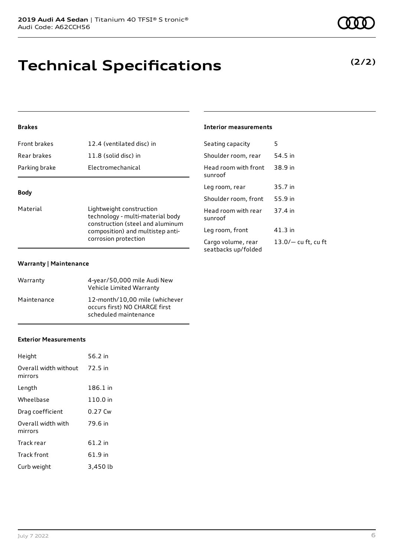# **Technical Specifications**

### **Brakes**

| Parking brake       | Electromechanical         |
|---------------------|---------------------------|
| Rear brakes         | 11.8 (solid disc) in      |
| <b>Front brakes</b> | 12.4 (ventilated disc) in |

### **Body**

Material **Lightweight construction** technology - multi-material body construction (steel and aluminum composition) and multistep anticorrosion protection

#### **Warranty | Maintenance**

| Warranty    | 4-year/50,000 mile Audi New<br>Vehicle Limited Warranty                                  |
|-------------|------------------------------------------------------------------------------------------|
| Maintenance | 12-month/10.00 mile (whichever<br>occurs first) NO CHARGE first<br>scheduled maintenance |

#### **Exterior Measurements**

| Height                           | 56.2 in  |
|----------------------------------|----------|
| Overall width without<br>mirrors | 72.5 in  |
| Length                           | 186.1 in |
| Wheelbase                        | 110.0 in |
| Drag coefficient                 | 0.27 Cw  |
| Overall width with<br>mirrors    | 79.6 in  |
| Track rear                       | 61.2 in  |
| Track front                      | 61.9 in  |
| Curb weight                      | 3,450 lb |

### **Interior measurements**

| Seating capacity                          | 5                   |
|-------------------------------------------|---------------------|
| Shoulder room, rear                       | 54.5 in             |
| Head room with front<br>sunroof           | 38.9 in             |
| Leg room, rear                            | 35.7 in             |
| Shoulder room, front                      | 55.9 in             |
| Head room with rear<br>sunroof            | 37.4 in             |
| Leg room, front                           | 41.3 in             |
| Cargo volume, rear<br>seatbacks up/folded | 13.0/— cu ft, cu ft |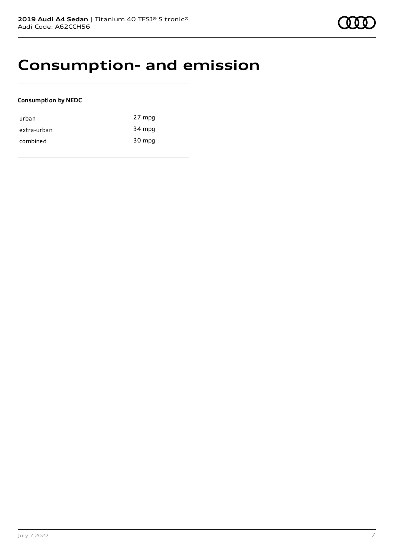### **Consumption- and emission**

#### **Consumption by NEDC**

| urban       | 27 mpg |
|-------------|--------|
| extra-urban | 34 mpg |
| combined    | 30 mpg |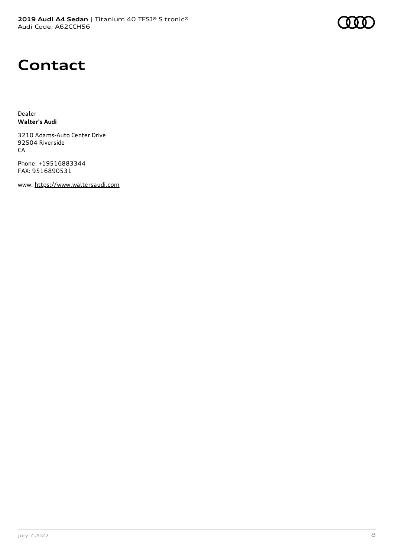# **Contact**

Dealer **Walter's Audi**

3210 Adams-Auto Center Drive 92504 Riverside CA

Phone: +19516883344 FAX: 9516890531

www: [https://www.waltersaudi.com](https://www.waltersaudi.com/)